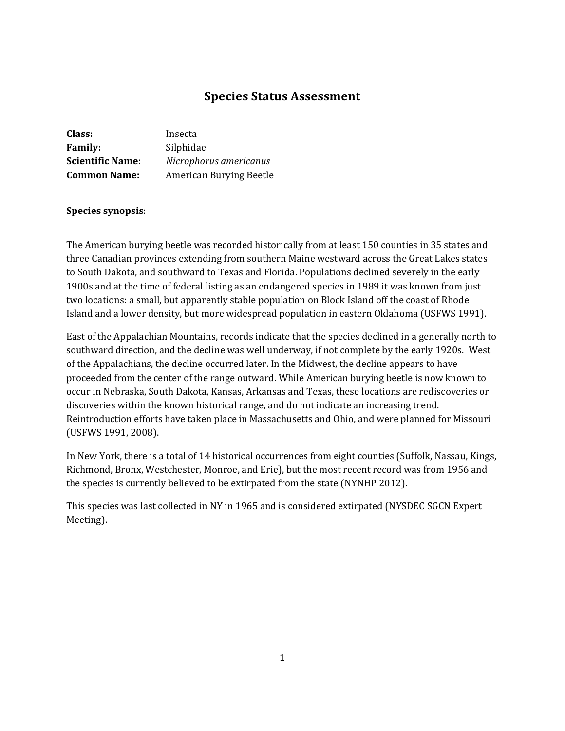# **Species Status Assessment**

| Class:                  | Insecta                 |
|-------------------------|-------------------------|
| <b>Family:</b>          | Silphidae               |
| <b>Scientific Name:</b> | Nicrophorus americanus  |
| <b>Common Name:</b>     | American Burying Beetle |

### **Species synopsis**:

The American burying beetle was recorded historically from at least 150 counties in 35 states and three Canadian provinces extending from southern Maine westward across the Great Lakes states to South Dakota, and southward to Texas and Florida. Populations declined severely in the early 1900s and at the time of federal listing as an endangered species in 1989 it was known from just two locations: a small, but apparently stable population on Block Island off the coast of Rhode Island and a lower density, but more widespread population in eastern Oklahoma (USFWS 1991).

East of the Appalachian Mountains, records indicate that the species declined in a generally north to southward direction, and the decline was well underway, if not complete by the early 1920s. West of the Appalachians, the decline occurred later. In the Midwest, the decline appears to have proceeded from the center of the range outward. While American burying beetle is now known to occur in Nebraska, South Dakota, Kansas, Arkansas and Texas, these locations are rediscoveries or discoveries within the known historical range, and do not indicate an increasing trend. Reintroduction efforts have taken place in Massachusetts and Ohio, and were planned for Missouri (USFWS 1991, 2008).

In New York, there is a total of 14 historical occurrences from eight counties (Suffolk, Nassau, Kings, Richmond, Bronx, Westchester, Monroe, and Erie), but the most recent record was from 1956 and the species is currently believed to be extirpated from the state (NYNHP 2012).

This species was last collected in NY in 1965 and is considered extirpated (NYSDEC SGCN Expert Meeting).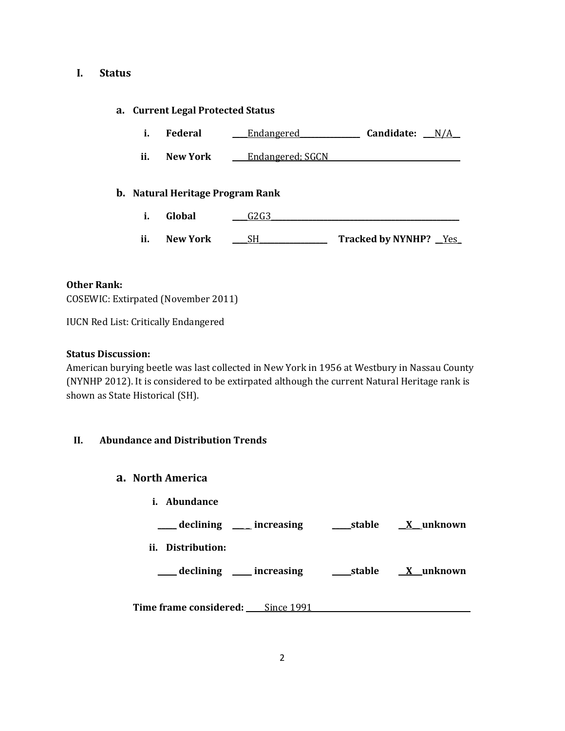## **I. Status**

### **a. Current Legal Protected Status**

|  | Federal | Endangered | Candidate: | N/A |
|--|---------|------------|------------|-----|
|--|---------|------------|------------|-----|

**ii. New York \_\_\_**Endangered; SGCN

### **b. Natural Heritage Program Rank**

- **i. Global \_\_\_\_**G2G3**\_\_\_\_\_\_\_\_\_\_\_\_\_\_\_\_\_\_\_\_\_\_\_\_\_\_\_\_\_\_\_\_\_\_\_\_\_\_\_\_\_\_\_\_\_\_\_\_\_\_**
- ii. **New York** \_\_\_\_\_\_\_\_\_\_\_\_\_\_\_\_\_\_\_\_\_\_\_\_\_\_\_\_\_\_\_\_\_ Tracked by NYNHP? \_\_Yes

### **Other Rank:**

COSEWIC: Extirpated (November 2011)

IUCN Red List: Critically Endangered

### **Status Discussion:**

American burying beetle was last collected in New York in 1956 at Westbury in Nassau County (NYNHP 2012). It is considered to be extirpated although the current Natural Heritage rank is shown as State Historical (SH).

## **II. Abundance and Distribution Trends**

## **a. North America**

**i. Abundance**

| declining ___          | _increasing | stable | X unknown |
|------------------------|-------------|--------|-----------|
| ii.<br>Distribution:   |             |        |           |
| _ declining _          | _increasing | stable | X unknown |
| Time frame considered: | Since 1991  |        |           |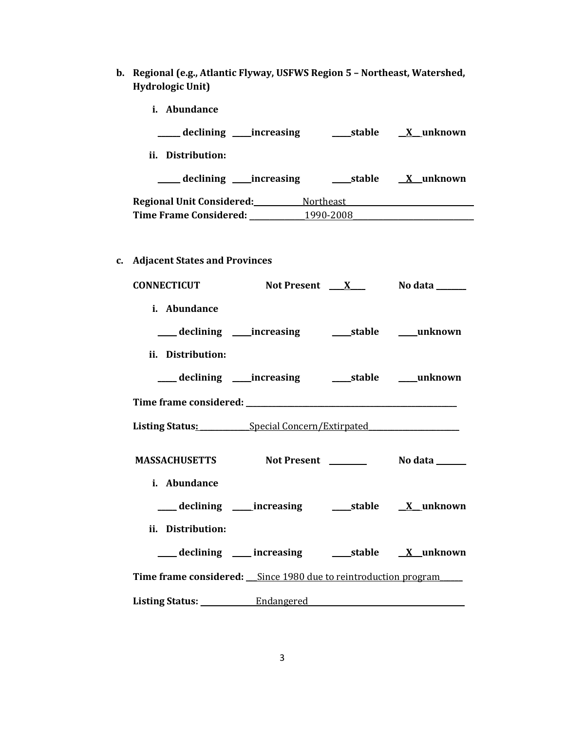**b. Regional (e.g., Atlantic Flyway, USFWS Region 5 – Northeast, Watershed, Hydrologic Unit)**

| i. Abundance                                                    |  |                       |
|-----------------------------------------------------------------|--|-----------------------|
|                                                                 |  |                       |
| ii. Distribution:                                               |  |                       |
|                                                                 |  |                       |
| Regional Unit Considered: Mortheast Northeast                   |  |                       |
| Time Frame Considered: 1990-2008                                |  |                       |
| c. Adjacent States and Provinces                                |  |                       |
| <b>CONNECTICUT</b>                                              |  | Not Present X No data |
| i. Abundance                                                    |  |                       |
|                                                                 |  |                       |
| ii. Distribution:                                               |  |                       |
|                                                                 |  |                       |
|                                                                 |  |                       |
| Listing Status: Special Concern/Extirpated                      |  |                       |
| MASSACHUSETTS Not Present No data                               |  |                       |
| i. Abundance                                                    |  |                       |
| declining ____increasing                                        |  |                       |
| ii. Distribution:                                               |  |                       |
|                                                                 |  |                       |
| Time frame considered: Since 1980 due to reintroduction program |  |                       |
|                                                                 |  |                       |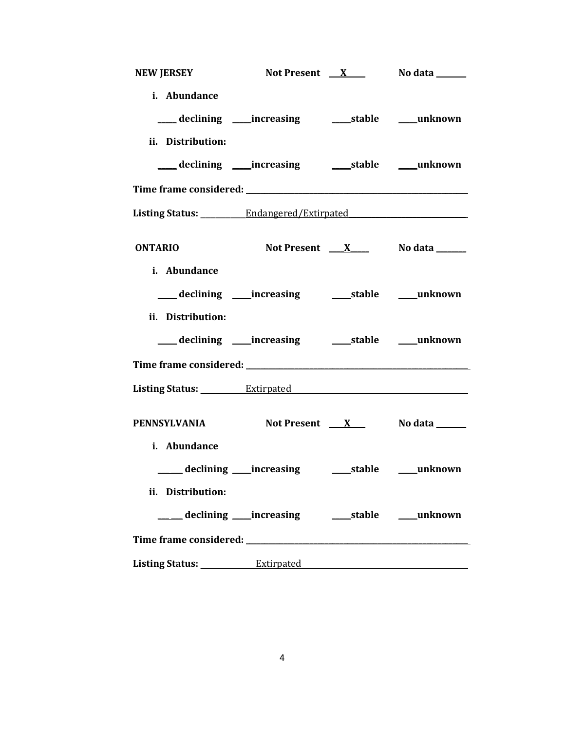| <b>NEW JERSEY</b>                                                                                                                                                                                                                    |                                    | Not Present X No data ______ |
|--------------------------------------------------------------------------------------------------------------------------------------------------------------------------------------------------------------------------------------|------------------------------------|------------------------------|
| i. Abundance                                                                                                                                                                                                                         |                                    |                              |
|                                                                                                                                                                                                                                      |                                    |                              |
| ii. Distribution:                                                                                                                                                                                                                    |                                    |                              |
|                                                                                                                                                                                                                                      |                                    |                              |
| Time frame considered: <u>contract and the set of the set of the set of the set of the set of the set of the set of the set of the set of the set of the set of the set of the set of the set of the set of the set of the set o</u> |                                    |                              |
| Listing Status: ___________Endangered/Extirpated________________________________                                                                                                                                                     |                                    |                              |
| <b>ONTARIO</b>                                                                                                                                                                                                                       | Not Present <u>X</u> No data _____ |                              |
| i. Abundance                                                                                                                                                                                                                         |                                    |                              |
|                                                                                                                                                                                                                                      |                                    |                              |
| ii. Distribution:                                                                                                                                                                                                                    |                                    |                              |
|                                                                                                                                                                                                                                      |                                    |                              |
| Time frame considered: Time frame considered:                                                                                                                                                                                        |                                    |                              |
| Listing Status: Extirpated                                                                                                                                                                                                           |                                    |                              |
| PENNSYLVANIA Not Present X No data                                                                                                                                                                                                   |                                    |                              |
| i. Abundance                                                                                                                                                                                                                         |                                    |                              |
|                                                                                                                                                                                                                                      |                                    |                              |
| ii. Distribution:                                                                                                                                                                                                                    |                                    |                              |
|                                                                                                                                                                                                                                      |                                    |                              |
|                                                                                                                                                                                                                                      |                                    |                              |
|                                                                                                                                                                                                                                      |                                    |                              |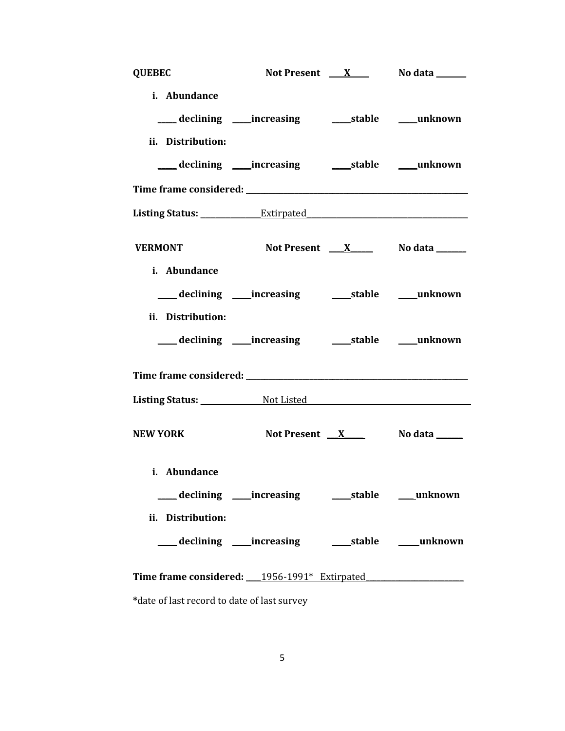| <b>QUEBEC</b>     | Not Present <u>X</u> No data _____                 |  |
|-------------------|----------------------------------------------------|--|
| i. Abundance      |                                                    |  |
|                   |                                                    |  |
| ii. Distribution: |                                                    |  |
|                   |                                                    |  |
|                   |                                                    |  |
|                   |                                                    |  |
| <b>VERMONT</b>    | Not Present <u>X</u> No data _____                 |  |
| i. Abundance      |                                                    |  |
|                   |                                                    |  |
| ii. Distribution: |                                                    |  |
|                   | ___declining ___increasing _____stable ____unknown |  |
|                   |                                                    |  |
|                   |                                                    |  |
| <b>NEW YORK</b>   | Not Present X No data                              |  |
| i. Abundance      |                                                    |  |
|                   |                                                    |  |
| ii. Distribution: |                                                    |  |
|                   |                                                    |  |
|                   | Time frame considered: 1956-1991* Extirpated       |  |

**\***date of last record to date of last survey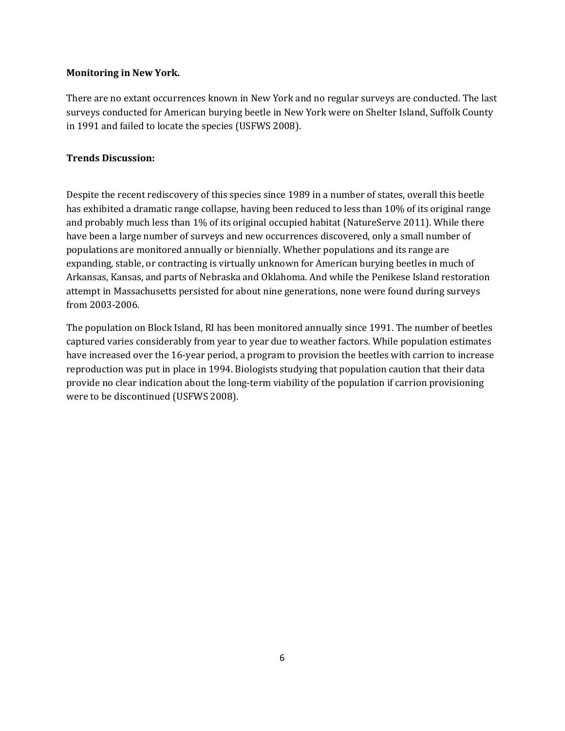## **Monitoring in New York.**

There are no extant occurrences known in New York and no regular surveys are conducted. The last surveys conducted for American burying beetle in New York were on Shelter Island, Suffolk County in 1991 and failed to locate the species (USFWS 2008).

## **Trends Discussion:**

Despite the recent rediscovery of this species since 1989 in a number of states, overall this beetle has exhibited a dramatic range collapse, having been reduced to less than 10% of its original range and probably much less than 1% of its original occupied habitat (NatureServe 2011). While there have been a large number of surveys and new occurrences discovered, only a small number of populations are monitored annually or biennially. Whether populations and its range are expanding, stable, or contracting is virtually unknown for American burying beetles in much of Arkansas, Kansas, and parts of Nebraska and Oklahoma. And while the Penikese Island restoration attempt in Massachusetts persisted for about nine generations, none were found during surveys from 2003-2006.

The population on Block Island, RI has been monitored annually since 1991. The number of beetles captured varies considerably from year to year due to weather factors. While population estimates have increased over the 16-year period, a program to provision the beetles with carrion to increase reproduction was put in place in 1994. Biologists studying that population caution that their data provide no clear indication about the long-term viability of the population if carrion provisioning were to be discontinued (USFWS 2008).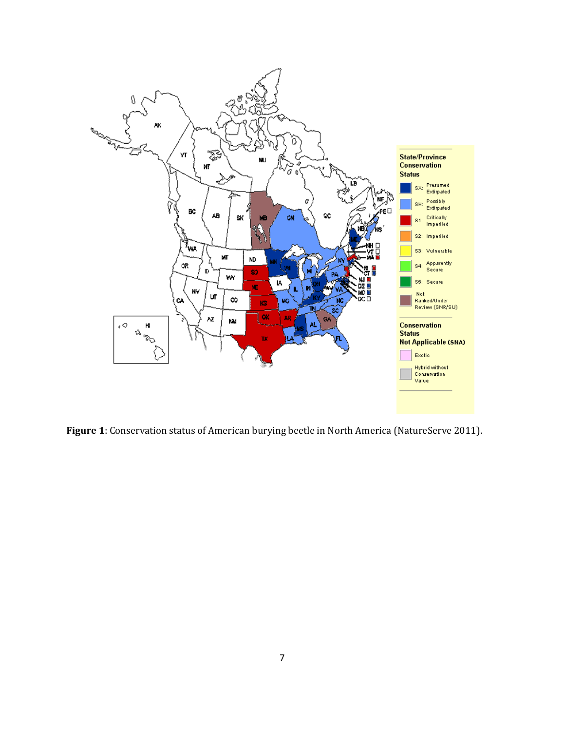

**Figure 1**: Conservation status of American burying beetle in North America (NatureServe 2011).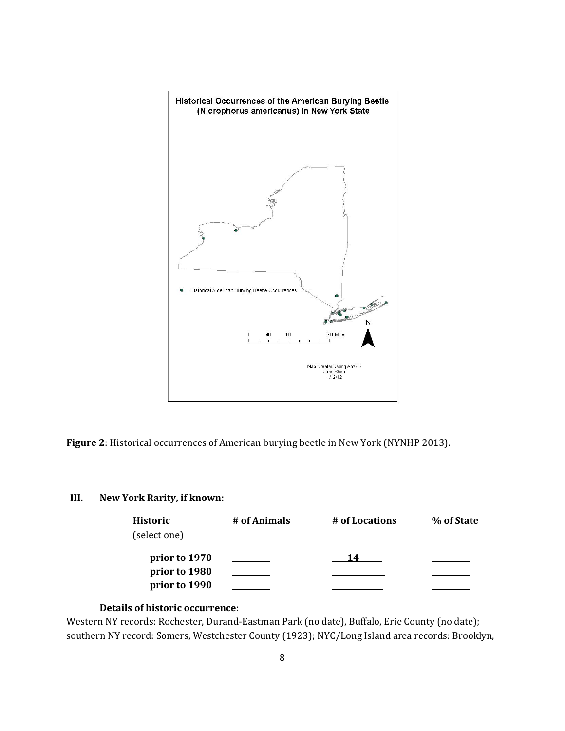

**Figure 2**: Historical occurrences of American burying beetle in New York (NYNHP 2013).

## **III. New York Rarity, if known:**

| Historic<br>(select one) | # of Animals | # of Locations | % of State |
|--------------------------|--------------|----------------|------------|
| prior to 1970            |              | 14             |            |
| prior to 1980            |              |                |            |
| prior to 1990            |              |                |            |

### **Details of historic occurrence:**

Western NY records: Rochester, Durand-Eastman Park (no date), Buffalo, Erie County (no date); southern NY record: Somers, Westchester County (1923); NYC/Long Island area records: Brooklyn,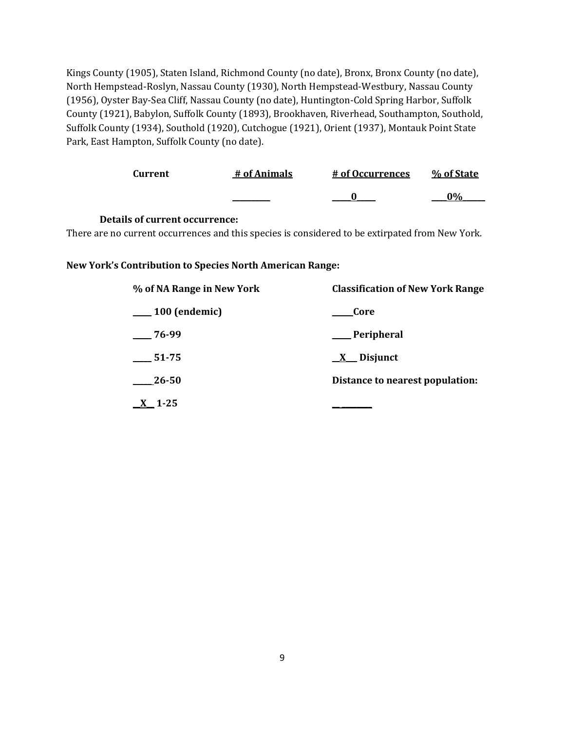Kings County (1905), Staten Island, Richmond County (no date), Bronx, Bronx County (no date), North Hempstead-Roslyn, Nassau County (1930), North Hempstead-Westbury, Nassau County (1956), Oyster Bay-Sea Cliff, Nassau County (no date), Huntington-Cold Spring Harbor, Suffolk County (1921), Babylon, Suffolk County (1893), Brookhaven, Riverhead, Southampton, Southold, Suffolk County (1934), Southold (1920), Cutchogue (1921), Orient (1937), Montauk Point State Park, East Hampton, Suffolk County (no date).

| Current | # of Animals | # of Occurrences | % of State |
|---------|--------------|------------------|------------|
|         |              |                  | 00L        |

### **Details of current occurrence:**

There are no current occurrences and this species is considered to be extirpated from New York.

**New York's Contribution to Species North American Range:**

| % of NA Range in New York | <b>Classification of New York Range</b> |  |
|---------------------------|-----------------------------------------|--|
| $\equiv$ 100 (endemic)    | Core                                    |  |
| 76-99                     | <b>Peripheral</b>                       |  |
| 51-75                     | $\underline{X}$ Disjunct                |  |
| 26-50                     | Distance to nearest population:         |  |
| $X_{-}$ 1-25              |                                         |  |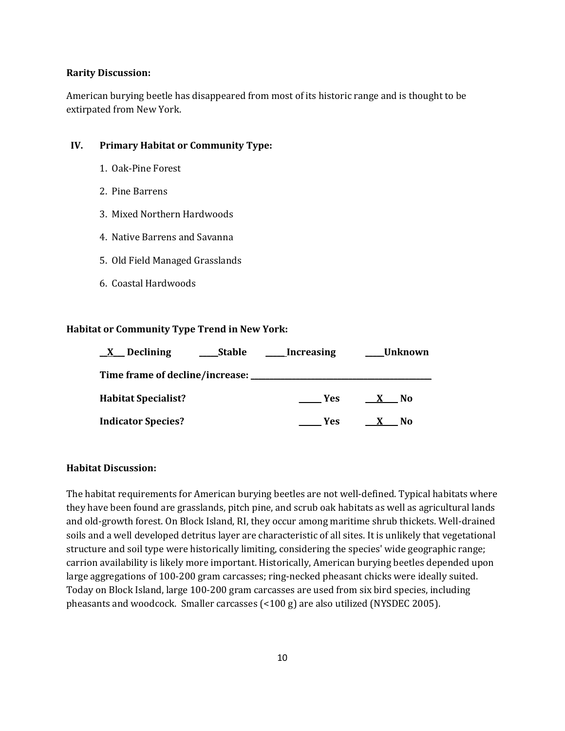#### **Rarity Discussion:**

American burying beetle has disappeared from most of its historic range and is thought to be extirpated from New York.

### **IV. Primary Habitat or Community Type:**

- 1. Oak-Pine Forest
- 2. Pine Barrens
- 3. Mixed Northern Hardwoods
- 4. Native Barrens and Savanna
- 5. Old Field Managed Grasslands
- 6. Coastal Hardwoods

### **Habitat or Community Type Trend in New York:**

| $X$ Declining<br>Stable         | Increasing | Unknown            |
|---------------------------------|------------|--------------------|
| Time frame of decline/increase: |            |                    |
| <b>Habitat Specialist?</b>      | <b>Yes</b> | No                 |
| <b>Indicator Species?</b>       | Yes:       | No<br>$\mathbf{X}$ |

#### **Habitat Discussion:**

The habitat requirements for American burying beetles are not well-defined. Typical habitats where they have been found are grasslands, pitch pine, and scrub oak habitats as well as agricultural lands and old-growth forest. On Block Island, RI, they occur among maritime shrub thickets. Well-drained soils and a well developed detritus layer are characteristic of all sites. It is unlikely that vegetational structure and soil type were historically limiting, considering the species' wide geographic range; carrion availability is likely more important. Historically, American burying beetles depended upon large aggregations of 100-200 gram carcasses; ring-necked pheasant chicks were ideally suited. Today on Block Island, large 100-200 gram carcasses are used from six bird species, including pheasants and woodcock. Smaller carcasses (<100 g) are also utilized (NYSDEC 2005).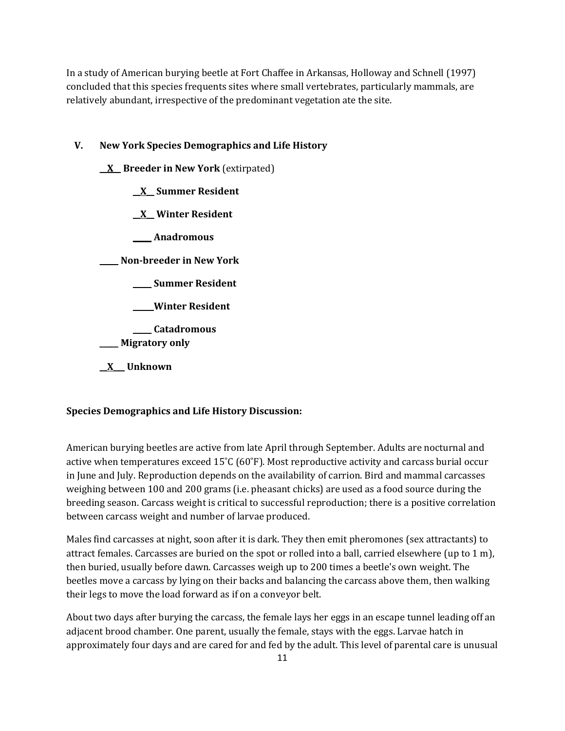In a study of American burying beetle at Fort Chaffee in Arkansas, Holloway and Schnell (1997) concluded that this species frequents sites where small vertebrates, particularly mammals, are relatively abundant, irrespective of the predominant vegetation ate the site.

## **V. New York Species Demographics and Life History**

**\_\_X\_\_ Breeder in New York** (extirpated)

- **\_\_X\_\_ Summer Resident**
- **\_\_X\_\_ Winter Resident**
- **\_\_\_\_\_ Anadromous**

**\_\_\_\_\_ Non-breeder in New York**

**\_\_\_\_\_ Summer Resident**

**\_\_\_\_\_ Winter Resident**

**\_\_\_\_\_ Catadromous** \_\_\_\_\_ **Migratory only**

**\_\_X\_\_\_ Unknown**

## **Species Demographics and Life History Discussion:**

American burying beetles are active from late April through September. Adults are nocturnal and active when temperatures exceed 15˚C (60˚F). Most reproductive activity and carcass burial occur in June and July. Reproduction depends on the availability of carrion. Bird and mammal carcasses weighing between 100 and 200 grams (i.e. pheasant chicks) are used as a food source during the breeding season. Carcass weight is critical to successful reproduction; there is a positive correlation between carcass weight and number of larvae produced.

Males find carcasses at night, soon after it is dark. They then emit pheromones (sex attractants) to attract females. Carcasses are buried on the spot or rolled into a ball, carried elsewhere (up to 1 m), then buried, usually before dawn. Carcasses weigh up to 200 times a beetle's own weight. The beetles move a carcass by lying on their backs and balancing the carcass above them, then walking their legs to move the load forward as if on a conveyor belt.

About two days after burying the carcass, the female lays her eggs in an escape tunnel leading off an adjacent brood chamber. One parent, usually the female, stays with the eggs. Larvae hatch in approximately four days and are cared for and fed by the adult. This level of parental care is unusual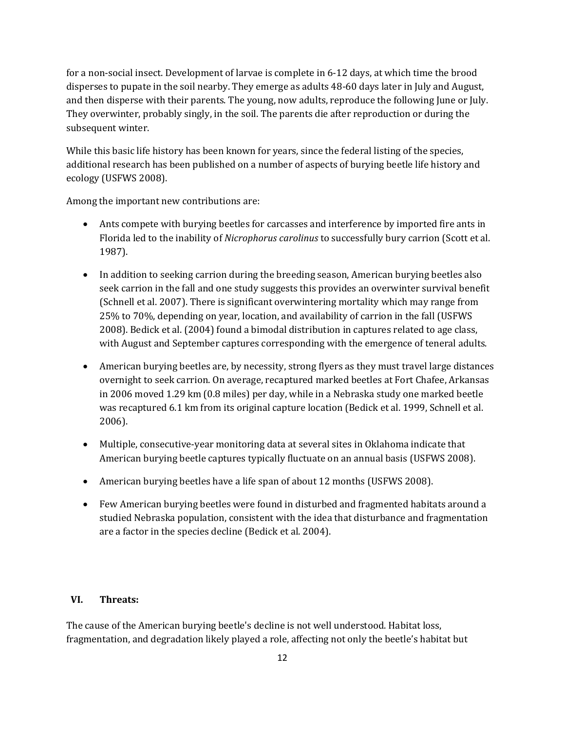for a non-social insect. Development of larvae is complete in 6-12 days, at which time the brood disperses to pupate in the soil nearby. They emerge as adults 48-60 days later in July and August, and then disperse with their parents. The young, now adults, reproduce the following June or July. They overwinter, probably singly, in the soil. The parents die after reproduction or during the subsequent winter.

While this basic life history has been known for years, since the federal listing of the species, additional research has been published on a number of aspects of burying beetle life history and ecology (USFWS 2008).

Among the important new contributions are:

- Ants compete with burying beetles for carcasses and interference by imported fire ants in Florida led to the inability of *Nicrophorus carolinus* to successfully bury carrion (Scott et al. 1987).
- In addition to seeking carrion during the breeding season, American burying beetles also seek carrion in the fall and one study suggests this provides an overwinter survival benefit (Schnell et al. 2007). There is significant overwintering mortality which may range from 25% to 70%, depending on year, location, and availability of carrion in the fall (USFWS 2008). Bedick et al. (2004) found a bimodal distribution in captures related to age class, with August and September captures corresponding with the emergence of teneral adults.
- American burying beetles are, by necessity, strong flyers as they must travel large distances overnight to seek carrion. On average, recaptured marked beetles at Fort Chafee, Arkansas in 2006 moved 1.29 km (0.8 miles) per day, while in a Nebraska study one marked beetle was recaptured 6.1 km from its original capture location (Bedick et al. 1999, Schnell et al. 2006).
- Multiple, consecutive-year monitoring data at several sites in Oklahoma indicate that American burying beetle captures typically fluctuate on an annual basis (USFWS 2008).
- American burying beetles have a life span of about 12 months (USFWS 2008).
- Few American burying beetles were found in disturbed and fragmented habitats around a studied Nebraska population, consistent with the idea that disturbance and fragmentation are a factor in the species decline (Bedick et al. 2004).

### **VI. Threats:**

The cause of the American burying beetle's decline is not well understood. Habitat loss, fragmentation, and degradation likely played a role, affecting not only the beetle's habitat but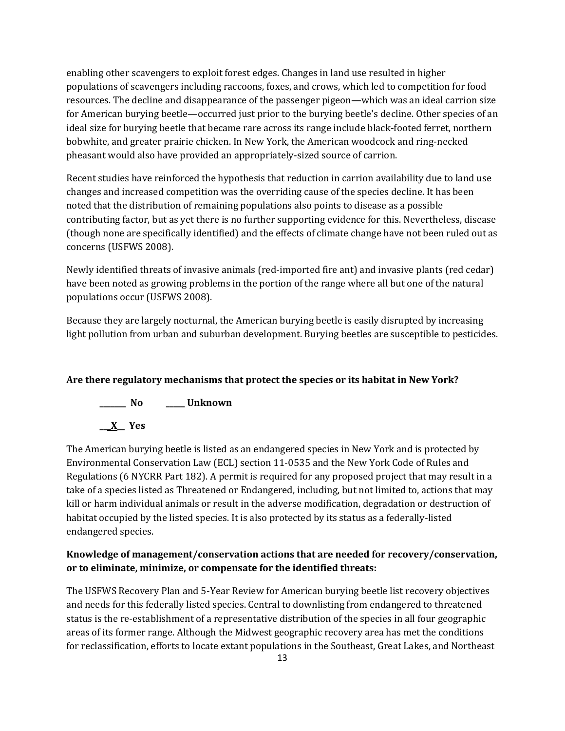enabling other scavengers to exploit forest edges. Changes in land use resulted in higher populations of scavengers including raccoons, foxes, and crows, which led to competition for food resources. The decline and disappearance of the passenger pigeon—which was an ideal carrion size for American burying beetle—occurred just prior to the burying beetle's decline. Other species of an ideal size for burying beetle that became rare across its range include black-footed ferret, northern bobwhite, and greater prairie chicken. In New York, the American woodcock and ring-necked pheasant would also have provided an appropriately-sized source of carrion.

Recent studies have reinforced the hypothesis that reduction in carrion availability due to land use changes and increased competition was the overriding cause of the species decline. It has been noted that the distribution of remaining populations also points to disease as a possible contributing factor, but as yet there is no further supporting evidence for this. Nevertheless, disease (though none are specifically identified) and the effects of climate change have not been ruled out as concerns (USFWS 2008).

Newly identified threats of invasive animals (red-imported fire ant) and invasive plants (red cedar) have been noted as growing problems in the portion of the range where all but one of the natural populations occur (USFWS 2008).

Because they are largely nocturnal, the American burying beetle is easily disrupted by increasing light pollution from urban and suburban development. Burying beetles are susceptible to pesticides.

## **Are there regulatory mechanisms that protect the species or its habitat in New York?**



The American burying beetle is listed as an endangered species in New York and is protected by Environmental Conservation Law (ECL) section 11-0535 and the New York Code of Rules and Regulations (6 NYCRR Part 182). A permit is required for any proposed project that may result in a take of a species listed as Threatened or Endangered, including, but not limited to, actions that may kill or harm individual animals or result in the adverse modification, degradation or destruction of habitat occupied by the listed species. It is also protected by its status as a federally-listed endangered species.

## **Knowledge of management/conservation actions that are needed for recovery/conservation, or to eliminate, minimize, or compensate for the identified threats:**

The USFWS Recovery Plan and 5-Year Review for American burying beetle list recovery objectives and needs for this federally listed species. Central to downlisting from endangered to threatened status is the re-establishment of a representative distribution of the species in all four geographic areas of its former range. Although the Midwest geographic recovery area has met the conditions for reclassification, efforts to locate extant populations in the Southeast, Great Lakes, and Northeast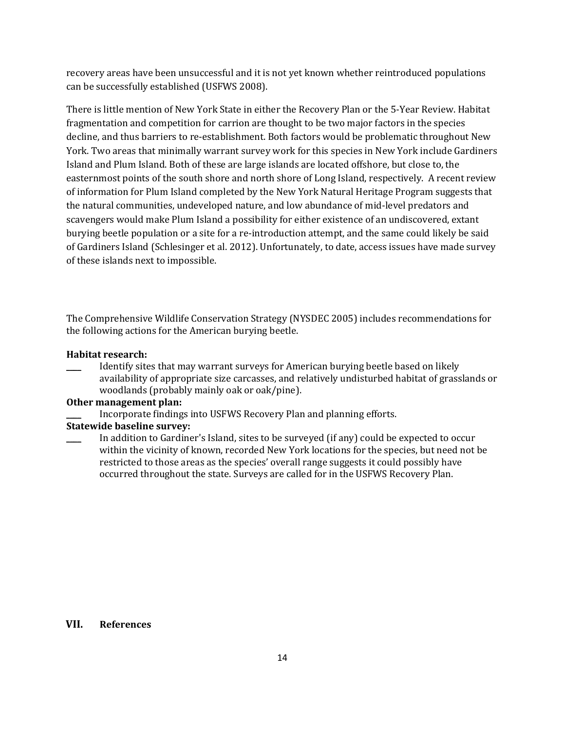recovery areas have been unsuccessful and it is not yet known whether reintroduced populations can be successfully established (USFWS 2008).

There is little mention of New York State in either the Recovery Plan or the 5-Year Review. Habitat fragmentation and competition for carrion are thought to be two major factors in the species decline, and thus barriers to re-establishment. Both factors would be problematic throughout New York. Two areas that minimally warrant survey work for this species in New York include Gardiners Island and Plum Island. Both of these are large islands are located offshore, but close to, the easternmost points of the south shore and north shore of Long Island, respectively. A recent review of information for Plum Island completed by the New York Natural Heritage Program suggests that the natural communities, undeveloped nature, and low abundance of mid-level predators and scavengers would make Plum Island a possibility for either existence of an undiscovered, extant burying beetle population or a site for a re-introduction attempt, and the same could likely be said of Gardiners Island (Schlesinger et al. 2012). Unfortunately, to date, access issues have made survey of these islands next to impossible.

The Comprehensive Wildlife Conservation Strategy (NYSDEC 2005) includes recommendations for the following actions for the American burying beetle.

#### **Habitat research:**

Identify sites that may warrant surveys for American burying beetle based on likely availability of appropriate size carcasses, and relatively undisturbed habitat of grasslands or woodlands (probably mainly oak or oak/pine).

#### **Other management plan:**

Incorporate findings into USFWS Recovery Plan and planning efforts.

### **Statewide baseline survey:**

In addition to Gardiner's Island, sites to be surveyed (if any) could be expected to occur within the vicinity of known, recorded New York locations for the species, but need not be restricted to those areas as the species' overall range suggests it could possibly have occurred throughout the state. Surveys are called for in the USFWS Recovery Plan.

## **VII. References**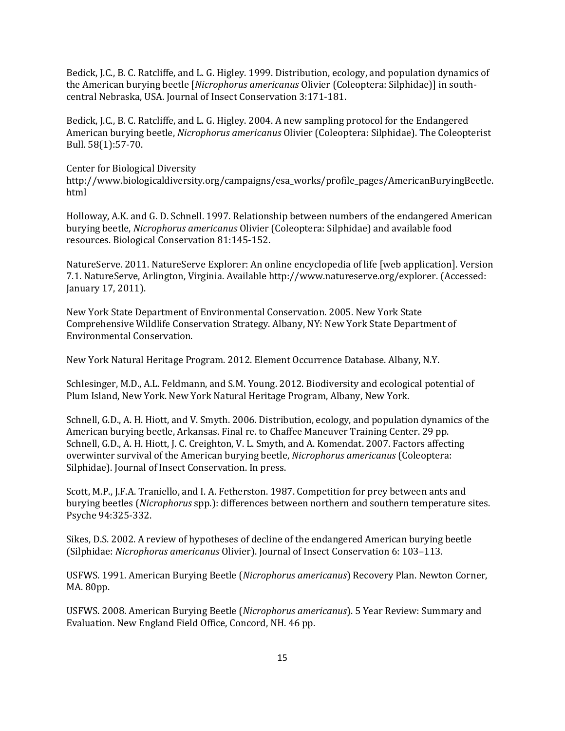Bedick, J.C., B. C. Ratcliffe, and L. G. Higley. 1999. Distribution, ecology, and population dynamics of the American burying beetle [*Nicrophorus americanus* Olivier (Coleoptera: Silphidae)] in southcentral Nebraska, USA. Journal of Insect Conservation 3:171-181.

Bedick, J.C., B. C. Ratcliffe, and L. G. Higley. 2004. A new sampling protocol for the Endangered American burying beetle, *Nicrophorus americanus* Olivier (Coleoptera: Silphidae). The Coleopterist Bull. 58(1):57-70.

Center for Biological Diversity

[http://www.biologicaldiversity.org/campaigns/esa\\_works/profile\\_pages/AmericanBuryingBeetle.](http://www.biologicaldiversity.org/campaigns/esa_works/profile_pages/AmericanBuryingBeetle.html) [html](http://www.biologicaldiversity.org/campaigns/esa_works/profile_pages/AmericanBuryingBeetle.html)

Holloway, A.K. and G. D. Schnell. 1997. Relationship between numbers of the endangered American burying beetle, *Nicrophorus americanus* Olivier (Coleoptera: Silphidae) and available food resources. Biological Conservation 81:145-152.

NatureServe. 2011. NatureServe Explorer: An online encyclopedia of life [web application]. Version 7.1. NatureServe, Arlington, Virginia. Available http://www.natureserve.org/explorer. (Accessed: January 17, 2011).

New York State Department of Environmental Conservation. 2005. New York State Comprehensive Wildlife Conservation Strategy. Albany, NY: New York State Department of Environmental Conservation.

New York Natural Heritage Program. 2012. Element Occurrence Database. Albany, N.Y.

Schlesinger, M.D., A.L. Feldmann, and S.M. Young. 2012. Biodiversity and ecological potential of Plum Island, New York. New York Natural Heritage Program, Albany, New York.

Schnell, G.D., A. H. Hiott, and V. Smyth. 2006. Distribution, ecology, and population dynamics of the American burying beetle, Arkansas. Final re. to Chaffee Maneuver Training Center. 29 pp. Schnell, G.D., A. H. Hiott, J. C. Creighton, V. L. Smyth, and A. Komendat. 2007. Factors affecting overwinter survival of the American burying beetle, *Nicrophorus americanus* (Coleoptera: Silphidae). Journal of Insect Conservation. In press.

Scott, M.P., J.F.A. Traniello, and I. A. Fetherston. 1987. Competition for prey between ants and burying beetles (*Nicrophorus* spp.): differences between northern and southern temperature sites. Psyche 94:325-332.

Sikes, D.S. 2002. A review of hypotheses of decline of the endangered American burying beetle (Silphidae: *Nicrophorus americanus* Olivier). Journal of Insect Conservation 6: 103–113.

USFWS. 1991. American Burying Beetle (*Nicrophorus americanus*) Recovery Plan. Newton Corner, MA. 80pp.

USFWS. 2008. American Burying Beetle (*Nicrophorus americanus*). 5 Year Review: Summary and Evaluation. New England Field Office, Concord, NH. 46 pp.